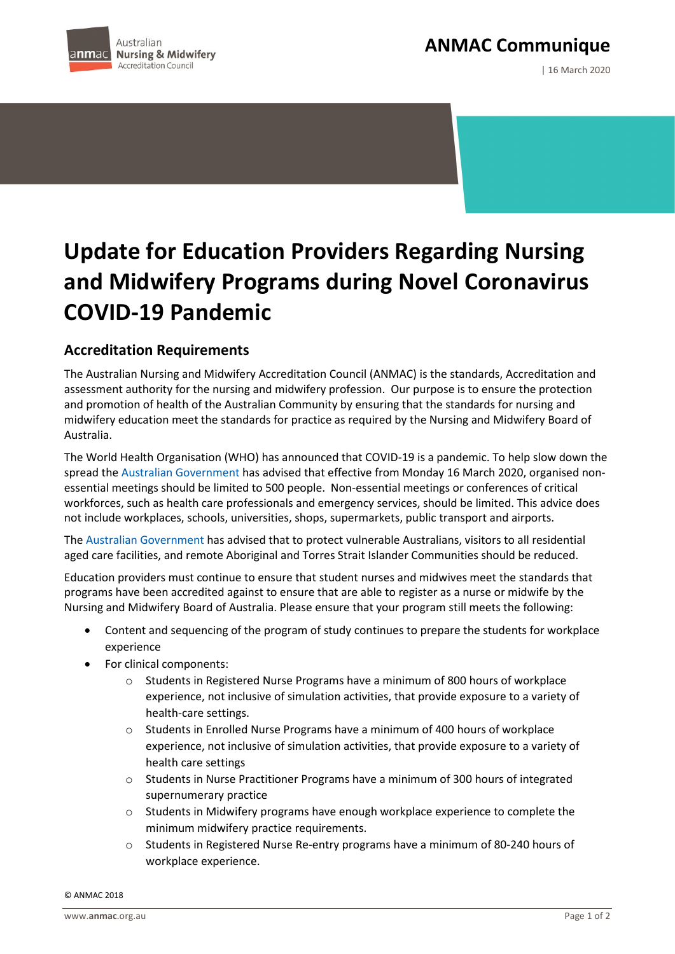**ANMAC Communique**



| 16 March 2020

## **Update for Education Providers Regarding Nursing and Midwifery Programs during Novel Coronavirus COVID-19 Pandemic**

## **Accreditation Requirements**

The Australian Nursing and Midwifery Accreditation Council (ANMAC) is the standards, Accreditation and assessment authority for the nursing and midwifery profession. Our purpose is to ensure the protection and promotion of health of the Australian Community by ensuring that the standards for nursing and midwifery education meet the standards for practice as required by the Nursing and Midwifery Board of Australia.

The World Health Organisation (WHO) has announced that COVID-19 is a pandemic. To help slow down the spread the [Australian Government](https://www.health.gov.au/news/health-alerts/novel-coronavirus-2019-ncov-health-alert) has advised that effective from Monday 16 March 2020, organised nonessential meetings should be limited to 500 people. Non-essential meetings or conferences of critical workforces, such as health care professionals and emergency services, should be limited. This advice does not include workplaces, schools, universities, shops, supermarkets, public transport and airports.

The [Australian Government](https://www.health.gov.au/news/health-alerts/novel-coronavirus-2019-ncov-health-alert) has advised that to protect vulnerable Australians, visitors to all residential aged care facilities, and remote Aboriginal and Torres Strait Islander Communities should be reduced.

Education providers must continue to ensure that student nurses and midwives meet the standards that programs have been accredited against to ensure that are able to register as a nurse or midwife by the Nursing and Midwifery Board of Australia. Please ensure that your program still meets the following:

- Content and sequencing of the program of study continues to prepare the students for workplace experience
- For clinical components:
	- o Students in Registered Nurse Programs have a minimum of 800 hours of workplace experience, not inclusive of simulation activities, that provide exposure to a variety of health-care settings.
	- o Students in Enrolled Nurse Programs have a minimum of 400 hours of workplace experience, not inclusive of simulation activities, that provide exposure to a variety of health care settings
	- o Students in Nurse Practitioner Programs have a minimum of 300 hours of integrated supernumerary practice
	- o Students in Midwifery programs have enough workplace experience to complete the minimum midwifery practice requirements.
	- Students in Registered Nurse Re-entry programs have a minimum of 80-240 hours of workplace experience.